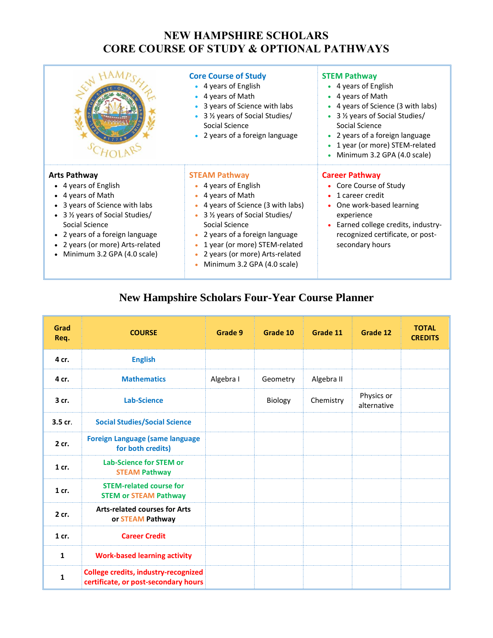## **NEW HAMPSHIRE SCHOLARS CORE COURSE OF STUDY & OPTIONAL PATHWAYS**

|                                                                                                                                                                                                                                                                | <b>Core Course of Study</b><br>• 4 years of English<br>• 4 years of Math<br>• 3 years of Science with labs<br>• 3 1/2 years of Social Studies/<br>Social Science<br>• 2 years of a foreign language                                                                                                            | <b>STEM Pathway</b><br>• 4 years of English<br>• 4 years of Math<br>• 4 years of Science (3 with labs)<br>• 3 1/2 years of Social Studies/<br>Social Science<br>• 2 years of a foreign language<br>• 1 year (or more) STEM-related<br>• Minimum 3.2 GPA (4.0 scale) |
|----------------------------------------------------------------------------------------------------------------------------------------------------------------------------------------------------------------------------------------------------------------|----------------------------------------------------------------------------------------------------------------------------------------------------------------------------------------------------------------------------------------------------------------------------------------------------------------|---------------------------------------------------------------------------------------------------------------------------------------------------------------------------------------------------------------------------------------------------------------------|
| <b>Arts Pathway</b><br>• 4 years of English<br>• 4 years of Math<br>• 3 years of Science with labs<br>• 3 1/2 years of Social Studies/<br>Social Science<br>• 2 years of a foreign language<br>• 2 years (or more) Arts-related<br>Minimum 3.2 GPA (4.0 scale) | <b>STEAM Pathway</b><br>• 4 years of English<br>• 4 years of Math<br>• 4 years of Science (3 with labs)<br>• 3 1/ <sub>2</sub> years of Social Studies/<br>Social Science<br>• 2 years of a foreign language<br>1 year (or more) STEM-related<br>2 years (or more) Arts-related<br>Minimum 3.2 GPA (4.0 scale) | <b>Career Pathway</b><br>• Core Course of Study<br>• 1 career credit<br>One work-based learning<br>experience<br>Earned college credits, industry-<br>recognized certificate, or post-<br>secondary hours                                                           |

## **New Hampshire Scholars Four-Year Course Planner**

| Grad<br>Req. | <b>COURSE</b>                                                                       | Grade 9   | Grade 10 | Grade 11   | Grade 12                  | <b>TOTAL</b><br><b>CREDITS</b> |
|--------------|-------------------------------------------------------------------------------------|-----------|----------|------------|---------------------------|--------------------------------|
| 4 cr.        | <b>English</b>                                                                      |           |          |            |                           |                                |
| 4 cr.        | <b>Mathematics</b>                                                                  | Algebra I | Geometry | Algebra II |                           |                                |
| 3 cr.        | <b>Lab-Science</b>                                                                  |           | Biology  | Chemistry  | Physics or<br>alternative |                                |
| $3.5$ cr.    | <b>Social Studies/Social Science</b>                                                |           |          |            |                           |                                |
| 2 cr.        | <b>Foreign Language (same language</b><br>for both credits)                         |           |          |            |                           |                                |
| $1$ cr.      | <b>Lab-Science for STEM or</b><br><b>STEAM Pathway</b>                              |           |          |            |                           |                                |
| $1$ cr.      | <b>STEM-related course for</b><br><b>STEM or STEAM Pathway</b>                      |           |          |            |                           |                                |
| 2 cr.        | <b>Arts-related courses for Arts</b><br>or STEAM Pathway                            |           |          |            |                           |                                |
| $1$ cr.      | <b>Career Credit</b>                                                                |           |          |            |                           |                                |
| $\mathbf{1}$ | <b>Work-based learning activity</b>                                                 |           |          |            |                           |                                |
| $\mathbf{1}$ | <b>College credits, industry-recognized</b><br>certificate, or post-secondary hours |           |          |            |                           |                                |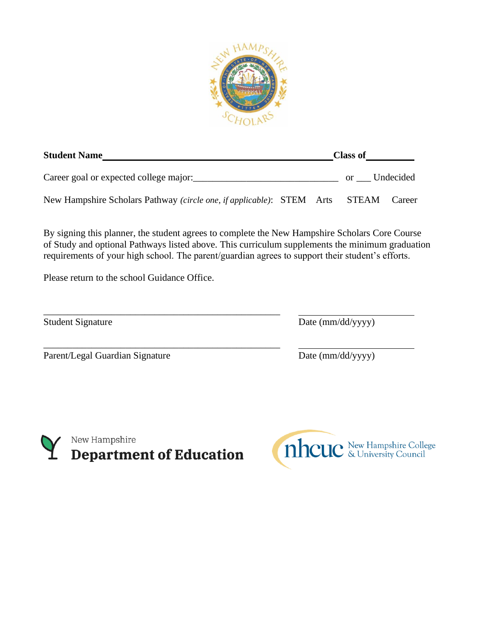

| <b>Student Name</b>                                                         |  | <b>Class of</b> |        |
|-----------------------------------------------------------------------------|--|-----------------|--------|
| Career goal or expected college major:                                      |  | or Undecided    |        |
| New Hampshire Scholars Pathway (circle one, if applicable): STEM Arts STEAM |  |                 | Career |

By signing this planner, the student agrees to complete the New Hampshire Scholars Core Course of Study and optional Pathways listed above. This curriculum supplements the minimum graduation requirements of your high school. The parent/guardian agrees to support their student's efforts.

Please return to the school Guidance Office.

\_\_\_\_\_\_\_\_\_\_\_\_\_\_\_\_\_\_\_\_\_\_\_\_\_\_\_\_\_\_\_\_\_\_\_\_\_\_\_\_\_\_\_\_\_\_\_\_\_

\_\_\_\_\_\_\_\_\_\_\_\_\_\_\_\_\_\_\_\_\_\_\_\_\_\_\_\_\_\_\_\_\_\_\_\_\_\_\_\_\_\_\_\_\_\_\_\_\_

Parent/Legal Guardian Signature Date (mm/dd/yyyy)

Student Signature Date (mm/dd/yyyy)